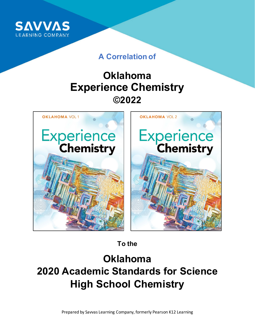

### **A Correlation of**

## **Oklahoma Experience Chemistry ©2022**



**To the**

# **Oklahoma 2020 Academic Standards for Science High School Chemistry**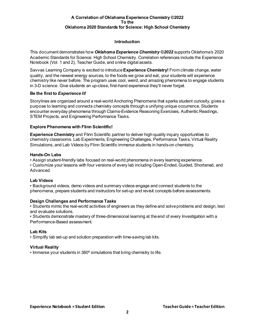#### **Introduction**

This document demonstrates how *Oklahoma Experience Chemistry ©2022* supports Oklahoma's 2020 Academic Standards for Science: High School Chemistry. Correlation references include the Experience Notebook (Vol. 1 and 2), Teacher Guide, and online digital assets.

Savvas Learning Company is excited to introduce **Experience Chemistry!** From climate change, water quality, and the newest energy sources, to the foods we grow and eat, your students will experience chemistry like never before. The program uses cool, weird, and amazing phenomena to engage students in 3-D science. Give students an up-close, first-hand experience they'll never forget.

#### **Be the first to** *Experience It!*

Storylines are organized around a real-world Anchoring Phenomena that sparks student curiosity, gives a purpose to learning and connects chemistry concepts through a unifying unique occurrence. Students encounter everyday phenomena through Claims-Evidence Reasoning Exercises, Authentic Readings, STEM Projects, and Engineering Performance Tasks.

#### **Explore Phenomena with Flinn Scientific!**

**Experience Chemistry** and Flinn Scientific partner to deliver high-quality inquiry opportunities to chemistry classrooms. Lab Experiments, Engineering Challenges, Performance Tasks, Virtual Reality Simulations, and Lab Videos by Flinn Scientific immerse students in hands-on chemistry.

#### **Hands-On Labs**

• Assign student-friendly labs focused on real-world phenomena in every learning experience. • Customize your lessons with four versions of every lab including Open-Ended, Guided, Shortened, and Advanced.

#### **Lab Videos**

• Background videos, demo videos and summary videos engage and connect students to the phenomena, prepare students and instructors for set-up and revisit concepts before assessments.

#### **Design Challenges and Performance Tasks**

• Students mimic the real-world activities of engineers as they define and solve problems and design, test and evaluate solutions.

• Students demonstrate mastery of three-dimensional learning at the end of every Investigation with a Performance-Based assessment.

#### **Lab Kits**

• Simplify lab set-up and solution preparation with time-saving lab kits.

#### **Virtual Reality**

• Immerse your students in 360º simulations that bring chemistry to life.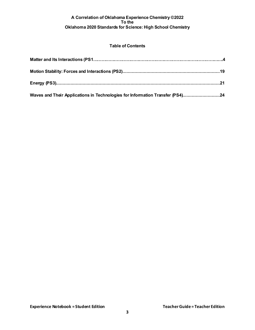#### **Table of Contents**

| Waves and Their Applications in Technologies for Information Transfer (PS4)24 |  |
|-------------------------------------------------------------------------------|--|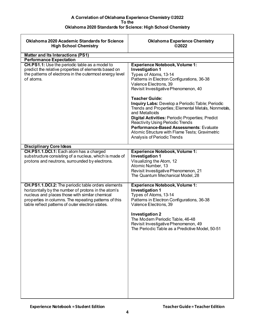<span id="page-3-0"></span>

| <b>Oklahoma 2020 Academic Standards for Science</b><br><b>High School Chemistry</b>                                                                                                                                                                                             | <b>Oklahoma Experience Chemistry</b><br>©2022                                                                                                                                                                                                                                                                                                                                                                                                         |
|---------------------------------------------------------------------------------------------------------------------------------------------------------------------------------------------------------------------------------------------------------------------------------|-------------------------------------------------------------------------------------------------------------------------------------------------------------------------------------------------------------------------------------------------------------------------------------------------------------------------------------------------------------------------------------------------------------------------------------------------------|
| <b>Matter and Its Interactions (PS1)</b>                                                                                                                                                                                                                                        |                                                                                                                                                                                                                                                                                                                                                                                                                                                       |
| <b>Performance Expectation</b>                                                                                                                                                                                                                                                  |                                                                                                                                                                                                                                                                                                                                                                                                                                                       |
| CH.PS1.1: Use the periodic table as a model to<br>predict the relative properties of elements based on<br>the patterns of electrons in the outermost energy level<br>of atoms.                                                                                                  | <b>Experience Notebook, Volume 1:</b><br><b>Investigation 1</b><br>Types of Atoms, 13-14<br>Patterns in Electron Configurations, 36-38<br>Valence Electrons, 39<br>Revisit Investigative Phenomenon, 40<br><b>Teacher Guide:</b><br>Inquiry Labs: Develop a Periodic Table; Periodic<br>Trends and Properties; Elemental Metals, Nonmetals,<br>and Metalloids<br>Digital Activities: Periodic Properties; Predict<br>Reactivity Using Periodic Trends |
|                                                                                                                                                                                                                                                                                 | Performance-Based Assessments: Evaluate<br>Atomic Structure with Flame Tests; Gravimetric<br>Analysis of Periodic Trends                                                                                                                                                                                                                                                                                                                              |
| <b>Disciplinary Core Ideas</b>                                                                                                                                                                                                                                                  |                                                                                                                                                                                                                                                                                                                                                                                                                                                       |
| CH.PS1.1.DCI.1: Each atom has a charged<br>substructure consisting of a nucleus, which is made of<br>protons and neutrons, surrounded by electrons.                                                                                                                             | <b>Experience Notebook, Volume 1:</b><br><b>Investigation 1</b><br>Visualizing the Atom, 12<br>Atomic Number, 13<br>Revisit Investigative Phenomenon, 21<br>The Quantum Mechanical Model, 28                                                                                                                                                                                                                                                          |
| <b>CH.PS1.1.DCI.2:</b> The periodic table orders elements<br>horizontally by the number of protons in the atom's<br>nucleus and places those with similar chemical<br>properties in columns. The repeating patterns of this<br>table reflect patterns of outer electron states. | <b>Experience Notebook, Volume 1:</b><br><b>Investigation 1</b><br>Types of Atoms, 13-14<br>Patterns in Electron Configurations, 36-38<br>Valence Electrons, 39<br><b>Investigation 2</b><br>The Modern Periodic Table, 46-48<br>Revisit Investigative Phenomenon, 49<br>The Periodic Table as a Predictive Model, 50-51                                                                                                                              |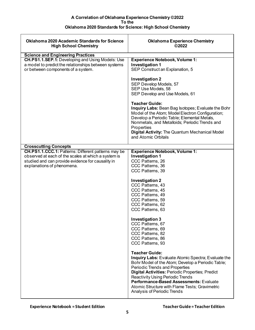| <b>Oklahoma 2020 Academic Standards for Science</b><br><b>High School Chemistry</b>                                                                                                           | <b>Oklahoma Experience Chemistry</b><br>©2022                                                                                                                                                                                                                                                                                                                                                                       |
|-----------------------------------------------------------------------------------------------------------------------------------------------------------------------------------------------|---------------------------------------------------------------------------------------------------------------------------------------------------------------------------------------------------------------------------------------------------------------------------------------------------------------------------------------------------------------------------------------------------------------------|
| <b>Science and Engineering Practices</b>                                                                                                                                                      |                                                                                                                                                                                                                                                                                                                                                                                                                     |
| CH.PS1.1.SEP.1: Developing and Using Models: Use<br>a model to predict the relationships between systems<br>or between components of a system.                                                | <b>Experience Notebook, Volume 1:</b><br><b>Investigation 1</b><br>SEP Construct an Explanation, 5<br><b>Investigation 2</b>                                                                                                                                                                                                                                                                                        |
|                                                                                                                                                                                               | SEP Develop Models, 57<br>SEP Use Models, 58<br>SEP Develop and Use Models, 61                                                                                                                                                                                                                                                                                                                                      |
|                                                                                                                                                                                               | <b>Teacher Guide:</b><br>Inquiry Labs: Bean Bag Isotopes; Evaluate the Bohr<br>Model of the Atom; Model Electron Configuration;<br>Develop a Periodic Table; Elemental Metals,<br>Nonmetals, and Metalloids; Periodic Trends and<br>Properties<br>Digital Activity: The Quantum Mechanical Model<br>and Atomic Orbitals                                                                                             |
| <b>Crosscutting Concepts</b>                                                                                                                                                                  |                                                                                                                                                                                                                                                                                                                                                                                                                     |
| CH.PS1.1.CCC.1: Patterns: Different patterns may be<br>observed at each of the scales at which a system is<br>studied and can provide evidence for causality in<br>explanations of phenomena. | <b>Experience Notebook, Volume 1:</b><br><b>Investigation 1</b><br>CCC Patterns, 26<br>CCC Patterns, 36<br>CCC Patterns, 39                                                                                                                                                                                                                                                                                         |
|                                                                                                                                                                                               | <b>Investigation 2</b><br>CCC Patterns, 43<br>CCC Patterns, 45<br>CCC Patterns, 49<br>CCC Patterns, 59<br>CCC Patterns, 62<br>CCC Patterns, 63                                                                                                                                                                                                                                                                      |
|                                                                                                                                                                                               | <b>Investigation 3</b><br>CCC Patterns, 67<br>CCC Patterns, 69<br>CCC Patterns, 82<br>CCC Patterns, 86<br>CCC Patterns, 93                                                                                                                                                                                                                                                                                          |
|                                                                                                                                                                                               | <b>Teacher Guide:</b><br><b>Inquiry Labs:</b> Evaluate Atomic Spectra; Evaluate the<br>Bohr Model of the Atom; Develop a Periodic Table;<br><b>Periodic Trends and Properties</b><br><b>Digital Activities: Periodic Properties; Predict</b><br><b>Reactivity Using Periodic Trends</b><br>Performance-Based Assessments: Evaluate<br>Atomic Structure with Flame Tests; Gravimetric<br>Analysis of Periodic Trends |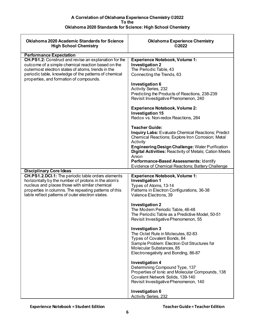| <b>Oklahoma 2020 Academic Standards for Science</b><br><b>High School Chemistry</b>                                                                                                                                                                                                                    | <b>Oklahoma Experience Chemistry</b><br>©2022                                                                                                                                                                                                                                                                                                                                                                                                                                                      |
|--------------------------------------------------------------------------------------------------------------------------------------------------------------------------------------------------------------------------------------------------------------------------------------------------------|----------------------------------------------------------------------------------------------------------------------------------------------------------------------------------------------------------------------------------------------------------------------------------------------------------------------------------------------------------------------------------------------------------------------------------------------------------------------------------------------------|
|                                                                                                                                                                                                                                                                                                        |                                                                                                                                                                                                                                                                                                                                                                                                                                                                                                    |
| <b>Performance Expectation</b><br>CH.PS1.2: Construct and revise an explanation for the<br>outcome of a simple chemical reaction based on the<br>outermost electron states of atoms, trends in the<br>periodic table, knowledge of the patterns of chemical<br>properties, and formation of compounds. | <b>Experience Notebook, Volume 1:</b><br><b>Investigation 2</b><br>The Periodic Table, 43<br>Connecting the Trends, 63<br><b>Investigation 6</b><br>Activity Series, 232<br>Predicting the Products of Reactions, 238-239<br>Revisit Investigative Phenomenon, 240<br><b>Experience Notebook, Volume 2:</b><br><b>Investigation 15</b><br>Redox vs. Non-redox Reactions, 284                                                                                                                       |
|                                                                                                                                                                                                                                                                                                        | <b>Teacher Guide:</b><br><b>Inquiry Labs: Evaluate Chemical Reactions; Predict</b><br>Chemical Reactions; Explore Iron Corrosion; Metal<br>Activity<br><b>Engineering Design Challenge: Water Purification</b><br>Digital Activities: Reactivity of Metals; Cation Meets<br>Anion<br>Performance-Based Assessments: Identify<br>Evidence of Chemical Reactions; Battery Challenge                                                                                                                  |
| <b>Disciplinary Core Ideas</b>                                                                                                                                                                                                                                                                         |                                                                                                                                                                                                                                                                                                                                                                                                                                                                                                    |
| <b>CH.PS1.2.DCI.1:</b> The periodic table orders elements<br>horizontally by the number of protons in the atom's<br>nucleus and places those with similar chemical<br>properties in columns. The repeating patterns of this<br>table reflect patterns of outer electron states.                        | <b>Experience Notebook, Volume 1:</b><br><b>Investigation 1</b><br>Types of Atoms, 13-14<br>Patterns in Electron Configurations, 36-38<br>Valence Electrons, 39<br><b>Investigation 2</b><br>The Modern Periodic Table, 46-48<br>The Periodic Table as a Predictive Model, 50-51<br>Revisit Investigative Phenomenon, 55<br><b>Investigation 3</b><br>The Octet Rule in Molecules, 82-83<br>Types of Covalent Bonds, 84<br>Sample Problem: Electron Dot Structures for<br>Molecular Substances, 85 |
|                                                                                                                                                                                                                                                                                                        | Electronegativity and Bonding, 86-87<br><b>Investigation 4</b><br>Determining Compound Type, 137<br>Properties of Ionic and Molecular Compounds, 138<br>Covalent Network Solids, 139-140<br>Revisit Investigative Phenomenon, 140<br>Investigation 6<br><b>Activity Series, 232</b>                                                                                                                                                                                                                |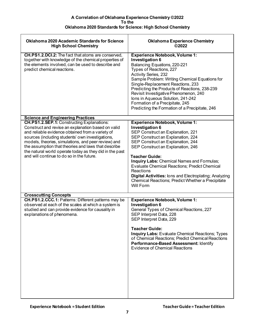| <b>Oklahoma 2020 Academic Standards for Science</b><br><b>High School Chemistry</b>                                                                                                                                                                                                                                                                                                                                                                                               | <b>Oklahoma Experience Chemistry</b><br>©2022                                                                                                                                                                                                                                                                                                                                                                                                                                               |
|-----------------------------------------------------------------------------------------------------------------------------------------------------------------------------------------------------------------------------------------------------------------------------------------------------------------------------------------------------------------------------------------------------------------------------------------------------------------------------------|---------------------------------------------------------------------------------------------------------------------------------------------------------------------------------------------------------------------------------------------------------------------------------------------------------------------------------------------------------------------------------------------------------------------------------------------------------------------------------------------|
| <b>CH.PS1.2.DCI.2:</b> The fact that atoms are conserved,<br>together with knowledge of the chemical properties of<br>the elements involved, can be used to describe and<br>predict chemical reactions.                                                                                                                                                                                                                                                                           | <b>Experience Notebook, Volume 1:</b><br><b>Investigation 6</b><br>Balancing Equations, 220-221<br>Types of Reactions, 227<br><b>Activity Series, 232</b><br>Sample Problem: Writing Chemical Equations for<br>Single-Replacement Reactions, 233<br>Predicting the Products of Reactions, 238-239<br>Revisit Investigative Phenomenon, 240<br>Ions in Aqueous Solution, 241-242<br>Formation of a Precipitate, 245<br>Predicting the Formation of a Precipitate, 246                        |
| <b>Science and Engineering Practices</b><br><b>CH.PS1.2.SEP.1: Constructing Explanations:</b><br>Construct and revise an explanation based on valid<br>and reliable evidence obtained from a variety of<br>sources (including students' own investigations,<br>models, theories, simulations, and peer review) and<br>the assumption that theories and laws that describe<br>the natural world operate today as they did in the past<br>and will continue to do so in the future. | <b>Experience Notebook, Volume 1:</b><br><b>Investigation 6</b><br>SEP Construct an Explanation, 221<br>SEP Construct an Explanation, 224<br>SEP Construct an Explanation, 244<br>SEP Construct an Explanation, 246<br><b>Teacher Guide:</b><br>Inquiry Labs: Chemical Names and Formulas;<br>Evaluate Chemical Reactions; Predict Chemical<br>Reactions<br>Digital Activities: lons and Electroplating; Analyzing<br>Chemical Reactions; Predict Whether a Precipitate<br><b>Will Form</b> |
| <b>Crosscutting Concepts</b><br>CH.PS1.2.CCC.1: Patterns: Different patterns may be<br>observed at each of the scales at which a system is<br>studied and can provide evidence for causality in<br>explanations of phenomena.                                                                                                                                                                                                                                                     | <b>Experience Notebook, Volume 1:</b><br><b>Investigation 6</b><br>General Types of Chemical Reactions, 227<br>SEP Interpret Data, 228<br>SEP Interpret Data, 229<br><b>Teacher Guide:</b><br><b>Inquiry Labs: Evaluate Chemical Reactions; Types</b><br>of Chemical Reactions; Predict Chemical Reactions<br>Performance-Based Assessment: Identify<br><b>Evidence of Chemical Reactions</b>                                                                                               |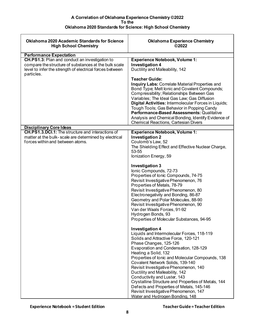| <b>Oklahoma 2020 Academic Standards for Science</b><br><b>High School Chemistry</b>                                                                                               | <b>Oklahoma Experience Chemistry</b><br>©2022                                                                                                                                                                                                                                                                                                                                                                                                                                                                                                                                               |
|-----------------------------------------------------------------------------------------------------------------------------------------------------------------------------------|---------------------------------------------------------------------------------------------------------------------------------------------------------------------------------------------------------------------------------------------------------------------------------------------------------------------------------------------------------------------------------------------------------------------------------------------------------------------------------------------------------------------------------------------------------------------------------------------|
| <b>Performance Expectation</b>                                                                                                                                                    |                                                                                                                                                                                                                                                                                                                                                                                                                                                                                                                                                                                             |
| CH.PS1.3: Plan and conduct an investigation to<br>compare the structure of substances at the bulk scale<br>level to infer the strength of electrical forces between<br>particles. | <b>Experience Notebook, Volume 1:</b><br><b>Investigation 4</b><br>Ductility and Malleability, 142<br><b>Teacher Guide:</b><br><b>Inquiry Labs: Correlate Material Properties and</b>                                                                                                                                                                                                                                                                                                                                                                                                       |
|                                                                                                                                                                                   | Bond Type; Melt lonic and Covalent Compounds;<br>Compressibility; Relationships Between Gas<br>Variables; The Ideal Gas Law; Gas Diffusion<br>Digital Activities: Intermolecular Forces in Liquids;<br>Tough Tools; Gas Behavior in Popping Candy<br>Performance-Based Assessments: Qualitative<br>Analysis and Chemical Bonding, Identify Evidence of<br><b>Chemical Reactions, Cartesian Divers</b>                                                                                                                                                                                       |
| <b>Disciplinary Core Ideas</b>                                                                                                                                                    |                                                                                                                                                                                                                                                                                                                                                                                                                                                                                                                                                                                             |
| <b>CH.PS1.3.DCI.1:</b> The structure and interactions of<br>matter at the bulk- scale are determined by electrical<br>forces within and between atoms.                            | <b>Experience Notebook, Volume 1:</b><br><b>Investigation 2</b><br>Coulomb's Law, 52<br>The Shielding Effect and Effective Nuclear Charge,<br>53-55<br>lonization Energy, 59                                                                                                                                                                                                                                                                                                                                                                                                                |
|                                                                                                                                                                                   | <b>Investigation 3</b><br>Ionic Compounds, 72-73<br>Properties of Ionic Compounds, 74-75<br>Revisit Investigative Phenomenon, 76<br>Properties of Metals, 78-79<br>Revisit Investigative Phenomenon, 80<br>Electronegativity and Bonding, 86-87<br>Geometry and Polar Molecules, 88-90<br>Revisit Investigative Phenomenon, 90<br>Van der Waals Forces, 91-92<br>Hydrogen Bonds, 93<br>Properties of Molecular Substances, 94-95                                                                                                                                                            |
|                                                                                                                                                                                   | <b>Investigation 4</b><br>Liquids and Intermolecular Forces, 118-119<br>Solids and Attractive Force, 120-121<br>Phase Changes, 125-126<br>Evaporation and Condensation, 128-129<br>Heating a Solid, 132<br>Properties of Ionic and Molecular Compounds, 138<br>Covalent Network Solids, 139-140<br>Revisit Investigative Phenomenon, 140<br>Ductility and Malleability, 142<br>Conductivity and Luster, 143<br>Crystalline Structure and Properties of Metals, 144<br>Defects and Properties of Metals, 145-146<br>Revisit Investigative Phenomenon, 147<br>Water and Hydrogen Bonding, 148 |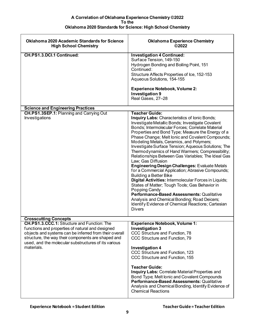| <b>Oklahoma 2020 Academic Standards for Science</b><br><b>High School Chemistry</b>                                                                                                                                                                                                          | <b>Oklahoma Experience Chemistry</b><br>©2022                                                                                                                                                                                                                                                                                                                                                                                                                                                                                                                                                                                                                                                                                                                                                                                                                                                                                                                              |
|----------------------------------------------------------------------------------------------------------------------------------------------------------------------------------------------------------------------------------------------------------------------------------------------|----------------------------------------------------------------------------------------------------------------------------------------------------------------------------------------------------------------------------------------------------------------------------------------------------------------------------------------------------------------------------------------------------------------------------------------------------------------------------------------------------------------------------------------------------------------------------------------------------------------------------------------------------------------------------------------------------------------------------------------------------------------------------------------------------------------------------------------------------------------------------------------------------------------------------------------------------------------------------|
| CH.PS1.3.DCI.1 Continued:                                                                                                                                                                                                                                                                    | <b>Investigation 4 Continued:</b><br>Surface Tension, 149-150<br>Hydrogen Bonding and Boiling Point, 151<br>Continued:<br>Structure Affects Properties of Ice, 152-153<br>Aqueous Solutions, 154-155<br><b>Experience Notebook, Volume 2:</b><br><b>Investigation 9</b><br>Real Gases, 27-28                                                                                                                                                                                                                                                                                                                                                                                                                                                                                                                                                                                                                                                                               |
| <b>Science and Engineering Practices</b>                                                                                                                                                                                                                                                     |                                                                                                                                                                                                                                                                                                                                                                                                                                                                                                                                                                                                                                                                                                                                                                                                                                                                                                                                                                            |
| <b>CH.PS1.3SEP.1: Planning and Carrying Out</b><br>Investigations                                                                                                                                                                                                                            | <b>Teacher Guide:</b><br>Inquiry Labs: Characteristics of Ionic Bonds;<br>Investigate Metallic Bonds; Investigate Covalent<br>Bonds; Intermolecular Forces; Correlate Material<br>Properties and Bond Type; Measure the Energy of a<br>Phase Change; Melt lonic and Covalent Compounds;<br>Modeling Metals, Ceramics, and Polymers;<br>Investigate Surface Tension; Aqueous Solutions; The<br>Thermodynamics of Hand Warmers; Compressibility;<br>Relationships Between Gas Variables; The Ideal Gas<br>Law; Gas Diffusion<br><b>Engineering Design Challenges: Evaluate Metals</b><br>for a Commercial Application; Abrasive Compounds;<br><b>Building a Better Bike</b><br>Digital Activities: Intermolecular Forces in Liquids;<br>States of Matter; Tough Tools; Gas Behavior in<br>Popping Candy<br>Performance-Based Assessments: Qualitative<br>Analysis and Chemical Bonding; Road Deicers;<br>Identify Evidence of Chemical Reactions; Cartesian<br><b>Divers</b> |
| <b>Crosscutting Concepts</b>                                                                                                                                                                                                                                                                 |                                                                                                                                                                                                                                                                                                                                                                                                                                                                                                                                                                                                                                                                                                                                                                                                                                                                                                                                                                            |
| <b>CH.PS1.3.CCC.1: Structure and Function: The</b><br>functions and properties of natural and designed<br>objects and systems can be inferred from their overall<br>structure, the way their components are shaped and<br>used, and the molecular substructures of its various<br>materials. | <b>Experience Notebook, Volume 1:</b><br><b>Investigation 3</b><br>CCC Structure and Function, 78<br>CCC Structure and Function, 79<br><b>Investigation 4</b><br>CCC Structure and Function, 123<br>CCC Structure and Function, 155<br><b>Teacher Guide:</b><br>Inquiry Labs: Correlate Material Properties and<br>Bond Type; Melt lonic and Covalent Compounds<br>Performance-Based Assessments: Qualitative<br>Analysis and Chemical Bonding, Identify Evidence of<br><b>Chemical Reactions</b>                                                                                                                                                                                                                                                                                                                                                                                                                                                                          |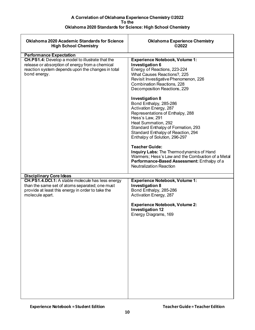| <b>Oklahoma 2020 Academic Standards for Science</b><br><b>High School Chemistry</b>                                                                                                | <b>Oklahoma Experience Chemistry</b><br>©2022                                                                                                                                                                                                                                                                                               |
|------------------------------------------------------------------------------------------------------------------------------------------------------------------------------------|---------------------------------------------------------------------------------------------------------------------------------------------------------------------------------------------------------------------------------------------------------------------------------------------------------------------------------------------|
| <b>Performance Expectation</b>                                                                                                                                                     |                                                                                                                                                                                                                                                                                                                                             |
| <b>CH.PS1.4:</b> Develop a model to illustrate that the<br>release or absorption of energy from a chemical<br>reaction system depends upon the changes in total<br>bond energy.    | <b>Experience Notebook, Volume 1:</b><br>Investigation 6<br>Energy of Reactions, 223-224<br>What Causes Reactions?, 225<br>Revisit Investigative Phenomenon, 226<br><b>Combination Reactions, 228</b><br>Decomposition Reactions, 229                                                                                                       |
|                                                                                                                                                                                    | <b>Investigation 8</b><br>Bond Enthalpy, 285-286<br>Activation Energy, 287<br>Representations of Enthalpy, 288<br>Hess's Law, 291<br>Heat Summation, 292<br>Standard Enthalpy of Formation, 293<br>Standard Enthalpy of Reaction, 294<br>Enthalpy of Solution, 296-297<br><b>Teacher Guide:</b><br>Inquiry Labs: The Thermodynamics of Hand |
|                                                                                                                                                                                    | Warmers; Hess's Law and the Combustion of a Metal<br>Performance-Based Assessment: Enthalpy of a<br><b>Neutralization Reaction</b>                                                                                                                                                                                                          |
| <b>Disciplinary Core Ideas</b>                                                                                                                                                     |                                                                                                                                                                                                                                                                                                                                             |
| <b>CH.PS1.4.DCI.1:</b> A stable molecule has less energy<br>than the same set of atoms separated; one must<br>provide at least this energy in order to take the<br>molecule apart. | <b>Experience Notebook, Volume 1:</b><br><b>Investigation 8</b><br>Bond Enthalpy, 285-286<br>Activation Energy, 287<br><b>Experience Notebook, Volume 2:</b>                                                                                                                                                                                |
|                                                                                                                                                                                    | <b>Investigation 12</b><br>Energy Diagrams, 169                                                                                                                                                                                                                                                                                             |
|                                                                                                                                                                                    |                                                                                                                                                                                                                                                                                                                                             |
|                                                                                                                                                                                    |                                                                                                                                                                                                                                                                                                                                             |
|                                                                                                                                                                                    |                                                                                                                                                                                                                                                                                                                                             |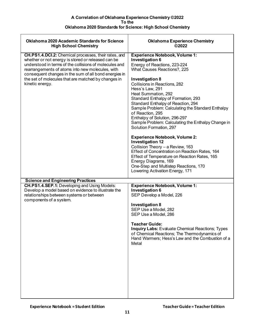| <b>Oklahoma 2020 Academic Standards for Science</b><br><b>High School Chemistry</b>                                                                                                                                                                                                                                                                                | <b>Oklahoma Experience Chemistry</b><br>©2022                                                                                                                                                                                                                                                                                                                                                                                                                                                                                                                                                                                                                                                                                                                                         |
|--------------------------------------------------------------------------------------------------------------------------------------------------------------------------------------------------------------------------------------------------------------------------------------------------------------------------------------------------------------------|---------------------------------------------------------------------------------------------------------------------------------------------------------------------------------------------------------------------------------------------------------------------------------------------------------------------------------------------------------------------------------------------------------------------------------------------------------------------------------------------------------------------------------------------------------------------------------------------------------------------------------------------------------------------------------------------------------------------------------------------------------------------------------------|
| <b>CH.PS1.4.DCI.2:</b> Chemical processes, their rates, and<br>whether or not energy is stored or released can be<br>understood in terms of the collisions of molecules and<br>rearrangements of atoms into new molecules, with<br>consequent changes in the sum of all bond energies in<br>the set of molecules that are matched by changes in<br>kinetic energy. | <b>Experience Notebook, Volume 1:</b><br><b>Investigation 6</b><br>Energy of Reactions, 223-224<br>What Causes Reactions?, 225<br><b>Investigation 8</b><br>Collisions in Reactions, 282<br>Hess's Law, 291<br>Heat Summation, 292<br>Standard Enthalpy of Formation, 293<br>Standard Enthalpy of Reaction, 294<br>Sample Problem: Calculating the Standard Enthalpy<br>of Reaction, 295<br>Enthalpy of Solution, 296-297<br>Sample Problem: Calculating the Enthalpy Change in<br>Solution Formation, 297<br><b>Experience Notebook, Volume 2:</b><br><b>Investigation 12</b><br>Collision Theory - a Review, 163<br>Effect of Concentration on Reaction Rates, 164<br>Effect of Temperature on Reaction Rates, 165<br>Energy Diagrams, 169<br>One-Step and Multistep Reactions, 170 |
| <b>Science and Engineering Practices</b>                                                                                                                                                                                                                                                                                                                           | Lowering Activation Energy, 171                                                                                                                                                                                                                                                                                                                                                                                                                                                                                                                                                                                                                                                                                                                                                       |
| CH.PS1.4.SEP.1: Developing and Using Models:<br>Develop a model based on evidence to illustrate the<br>relationships between systems or between<br>components of a system.                                                                                                                                                                                         | <b>Experience Notebook, Volume 1:</b><br><b>Investigation 6</b><br>SEP Develop a Model, 226<br><b>Investigation 8</b><br>SEP Use a Model, 282<br>SEP Use a Model, 286<br><b>Teacher Guide:</b><br><b>Inquiry Labs: Evaluate Chemical Reactions; Types</b><br>of Chemical Reactions; The Thermodynamics of<br>Hand Warmers; Hess's Law and the Combustion of a<br>Metal                                                                                                                                                                                                                                                                                                                                                                                                                |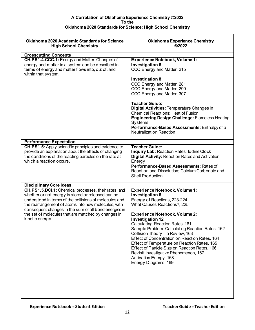| <b>Oklahoma 2020 Academic Standards for Science</b><br><b>High School Chemistry</b>                                                                                                                                                                                                                                                                            | <b>Oklahoma Experience Chemistry</b><br>©2022                                                                                                                                                                                                                                                                                                                                                                                                                                                                                                                               |
|----------------------------------------------------------------------------------------------------------------------------------------------------------------------------------------------------------------------------------------------------------------------------------------------------------------------------------------------------------------|-----------------------------------------------------------------------------------------------------------------------------------------------------------------------------------------------------------------------------------------------------------------------------------------------------------------------------------------------------------------------------------------------------------------------------------------------------------------------------------------------------------------------------------------------------------------------------|
| <b>Crosscutting Concepts</b>                                                                                                                                                                                                                                                                                                                                   |                                                                                                                                                                                                                                                                                                                                                                                                                                                                                                                                                                             |
| CH.PS1.4.CCC.1: Energy and Matter: Changes of<br>energy and matter in a system can be described in<br>terms of energy and matter flows into, out of, and<br>within that system.                                                                                                                                                                                | <b>Experience Notebook, Volume 1:</b><br><b>Investigation 6</b><br>CCC Energy and Matter, 215<br><b>Investigation 8</b><br>CCC Energy and Matter, 281<br>CCC Energy and Matter, 290<br>CCC Energy and Matter, 307<br><b>Teacher Guide:</b><br>Digital Activities: Temperature Changes in<br>Chemical Reactions; Heat of Fusion<br><b>Engineering Design Challenge: Flameless Heating</b><br>Systems<br>Performance-Based Assessments: Enthalpy of a<br><b>Neutralization Reaction</b>                                                                                       |
| <b>Performance Expectation</b>                                                                                                                                                                                                                                                                                                                                 |                                                                                                                                                                                                                                                                                                                                                                                                                                                                                                                                                                             |
| <b>CH.PS1.5:</b> Apply scientific principles and evidence to<br>provide an explanation about the effects of changing<br>the conditions of the reacting particles on the rate at<br>which a reaction occurs.                                                                                                                                                    | <b>Teacher Guide:</b><br>Inquiry Lab: Reaction Rates: Iodine Clock<br><b>Digital Activity: Reaction Rates and Activation</b><br>Energy<br>Performance-Based Assessments: Rates of<br>Reaction and Dissolution; Calcium Carbonate and<br><b>Shell Production</b>                                                                                                                                                                                                                                                                                                             |
| <b>Disciplinary Core Ideas</b>                                                                                                                                                                                                                                                                                                                                 |                                                                                                                                                                                                                                                                                                                                                                                                                                                                                                                                                                             |
| CH.PS1.5.DCI.1: Chemical processes, their rates, and<br>whether or not energy is stored or released can be<br>understood in terms of the collisions of molecules and<br>the rearrangement of atoms into new molecules, with<br>consequent changes in the sum of all bond energies in<br>the set of molecules that are matched by changes in<br>kinetic energy. | <b>Experience Notebook, Volume 1:</b><br><b>Investigation 6</b><br>Energy of Reactions, 223-224<br>What Causes Reactions?, 225<br><b>Experience Notebook, Volume 2:</b><br><b>Investigation 12</b><br>Calculating Reaction Rates, 161<br>Sample Problem: Calculating Reaction Rates, 162<br>Collision Theory - a Review, 163<br>Effect of Concentration on Reaction Rates, 164<br>Effect of Temperature on Reaction Rates, 165<br>Effect of Particle Size on Reaction Rates, 166<br>Revisit Investigative Phenomenon, 167<br>Activation Energy, 168<br>Energy Diagrams, 169 |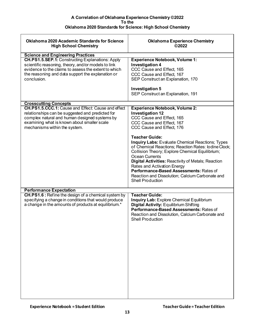| <b>Oklahoma 2020 Academic Standards for Science</b><br><b>High School Chemistry</b>                                                                                                                                                            | <b>Oklahoma Experience Chemistry</b><br>©2022                                                                                                                                                                                                                                                                                                                                                                    |
|------------------------------------------------------------------------------------------------------------------------------------------------------------------------------------------------------------------------------------------------|------------------------------------------------------------------------------------------------------------------------------------------------------------------------------------------------------------------------------------------------------------------------------------------------------------------------------------------------------------------------------------------------------------------|
| <b>Science and Engineering Practices</b>                                                                                                                                                                                                       |                                                                                                                                                                                                                                                                                                                                                                                                                  |
| <b>CH.PS1.5.SEP.1: Constructing Explanations: Apply</b><br>scientific reasoning, theory, and/or models to link<br>evidence to the claims to assess the extent to which<br>the reasoning and data support the explanation or<br>conclusion.     | <b>Experience Notebook, Volume 1:</b><br><b>Investigation 4</b><br>CCC Cause and Effect, 165<br>CCC Cause and Effect, 167<br>SEP Construct an Explanation, 170<br><b>Investigation 5</b><br>SEP Construct an Explanation, 191                                                                                                                                                                                    |
|                                                                                                                                                                                                                                                |                                                                                                                                                                                                                                                                                                                                                                                                                  |
| <b>Crosscutting Concepts</b>                                                                                                                                                                                                                   |                                                                                                                                                                                                                                                                                                                                                                                                                  |
| <b>CH.PS1.5.CCC.1:</b> Cause and Effect: Cause and effect<br>relationships can be suggested and predicted for<br>complex natural and human designed systems by<br>examining what is known about smaller scale<br>mechanisms within the system. | <b>Experience Notebook, Volume 2:</b><br><b>Investigation 12</b><br>CCC Cause and Effect, 165<br>CCC Cause and Effect, 167<br>CCC Cause and Effect, 176<br><b>Teacher Guide:</b>                                                                                                                                                                                                                                 |
|                                                                                                                                                                                                                                                | <b>Inquiry Labs: Evaluate Chemical Reactions; Types</b><br>of Chemical Reactions; Reaction Rates: Iodine Clock;<br>Collision Theory; Explore Chemical Equilibrium;<br><b>Ocean Currents</b><br><b>Digital Activities: Reactivity of Metals; Reaction</b><br>Rates and Activation Energy<br>Performance-Based Assessments: Rates of<br>Reaction and Dissolution; Calcium Carbonate and<br><b>Shell Production</b> |
| <b>Performance Expectation</b>                                                                                                                                                                                                                 |                                                                                                                                                                                                                                                                                                                                                                                                                  |
| CH.PS1.6 : Refine the design of a chemical system by<br>specifying a change in conditions that would produce<br>a change in the amounts of products at equilibrium.*                                                                           | <b>Teacher Guide:</b><br><b>Inquiry Lab: Explore Chemical Equilibrium</b><br><b>Digital Activity: Equilibrium Shifting</b><br>Performance-Based Assessments: Rates of<br>Reaction and Dissolution, Calcium Carbonate and<br><b>Shell Production</b>                                                                                                                                                              |
|                                                                                                                                                                                                                                                |                                                                                                                                                                                                                                                                                                                                                                                                                  |
|                                                                                                                                                                                                                                                |                                                                                                                                                                                                                                                                                                                                                                                                                  |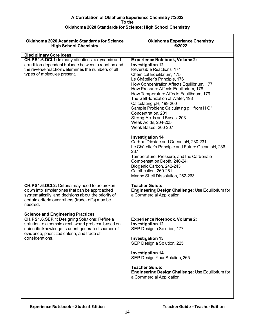| <b>Oklahoma 2020 Academic Standards for Science</b><br><b>High School Chemistry</b>                                                                                                                                                  | <b>Oklahoma Experience Chemistry</b><br>©2022                                                                                                                                                                                                                                                                                                                                                                                                                                                                                                                                                                                                                                                                                                                                                                                                       |
|--------------------------------------------------------------------------------------------------------------------------------------------------------------------------------------------------------------------------------------|-----------------------------------------------------------------------------------------------------------------------------------------------------------------------------------------------------------------------------------------------------------------------------------------------------------------------------------------------------------------------------------------------------------------------------------------------------------------------------------------------------------------------------------------------------------------------------------------------------------------------------------------------------------------------------------------------------------------------------------------------------------------------------------------------------------------------------------------------------|
| <b>Disciplinary Core Ideas</b>                                                                                                                                                                                                       |                                                                                                                                                                                                                                                                                                                                                                                                                                                                                                                                                                                                                                                                                                                                                                                                                                                     |
| CH.PS1.6.DCI.1: In many situations, a dynamic and<br>condition-dependent balance between a reaction and<br>the reverse reaction determines the numbers of all<br>types of molecules present.                                         | <b>Experience Notebook, Volume 2:</b><br><b>Investigation 12</b><br>Reversible Reactions, 174<br>Chemical Equilibrium, 175<br>Le Châtelier's Principle, 176<br>How Concentration Affects Equilibrium, 177<br>How Pressure Affects Equilibrium, 178<br>How Temperature Affects Equilibrium, 179<br>The Self-Ionization of Water, 198<br>Calculating pH, 199-200<br>Sample Problem: Calculating pH from H <sub>3</sub> O <sup>+</sup><br>Concentration, 201<br>Strong Acids and Bases, 203<br><b>Weak Acids, 204-205</b><br>Weak Bases, 206-207<br><b>Investigation 14</b><br>Carbon Dioxide and Ocean pH, 230-231<br>Le Châtelier's Principle and Future Ocean pH, 236-<br>237<br>Temperature, Pressure, and the Carbonate<br>Compensation Depth, 240-241<br>Biogenic Carbon, 242-243<br>Calcification, 260-261<br>Marine Shell Dissolution, 262-263 |
| <b>CH.PS1.6.DCI.2:</b> Criteria may need to be broken<br>down into simpler ones that can be approached<br>systematically, and decisions about the priority of<br>certain criteria over others (trade- offs) may be<br>needed.        | <b>Teacher Guide:</b><br>Engineering Design Challenge: Use Equilibrium for<br>a Commercial Application                                                                                                                                                                                                                                                                                                                                                                                                                                                                                                                                                                                                                                                                                                                                              |
| <b>Science and Engineering Practices</b>                                                                                                                                                                                             |                                                                                                                                                                                                                                                                                                                                                                                                                                                                                                                                                                                                                                                                                                                                                                                                                                                     |
| <b>CH.PS1.6.SEP.1:</b> Designing Solutions: Refine a<br>solution to a complex real-world problem, based on<br>scientific knowledge, student-generated sources of<br>evidence, prioritized criteria, and trade off<br>considerations. | <b>Experience Notebook, Volume 2:</b><br><b>Investigation 12</b><br>SEP Design a Solution, 177<br><b>Investigation 13</b><br>SEP Design a Solution, 225<br><b>Investigation 14</b><br>SEP Design Your Solution, 265<br><b>Teacher Guide:</b><br>Engineering Design Challenge: Use Equilibrium for<br>a Commercial Application                                                                                                                                                                                                                                                                                                                                                                                                                                                                                                                       |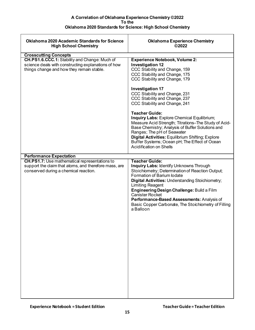| <b>Oklahoma 2020 Academic Standards for Science</b><br><b>High School Chemistry</b>                                                                    | <b>Oklahoma Experience Chemistry</b><br>©2022                                                                                                                                                                                                                                                                                                                                                                                                                                                                                                                                                                             |
|--------------------------------------------------------------------------------------------------------------------------------------------------------|---------------------------------------------------------------------------------------------------------------------------------------------------------------------------------------------------------------------------------------------------------------------------------------------------------------------------------------------------------------------------------------------------------------------------------------------------------------------------------------------------------------------------------------------------------------------------------------------------------------------------|
| <b>Crosscutting Concepts</b>                                                                                                                           |                                                                                                                                                                                                                                                                                                                                                                                                                                                                                                                                                                                                                           |
| CH.PS1.6.CCC.1: Stability and Change: Much of<br>science deals with constructing explanations of how<br>things change and how they remain stable.      | <b>Experience Notebook, Volume 2:</b><br><b>Investigation 12</b><br>CCC Stability and Change, 159<br>CCC Stability and Change, 175<br>CCC Stability and Change, 179<br><b>Investigation 17</b><br>CCC Stability and Change, 231<br>CCC Stability and Change, 237<br>CCC Stability and Change, 241<br><b>Teacher Guide:</b><br>Inquiry Labs: Explore Chemical Equilibrium;<br>Measure Acid Strength; Titrations-The Study of Acid-<br>Base Chemistry; Analysis of Buffer Solutions and<br>Ranges; The pH of Seawater<br>Digital Activities: Equilibrium Shifting; Explore<br>Buffer Systems; Ocean pH; The Effect of Ocean |
| <b>Performance Expectation</b>                                                                                                                         | <b>Acidification on Shells</b>                                                                                                                                                                                                                                                                                                                                                                                                                                                                                                                                                                                            |
|                                                                                                                                                        |                                                                                                                                                                                                                                                                                                                                                                                                                                                                                                                                                                                                                           |
| <b>CH.PS1.7:</b> Use mathematical representations to<br>support the claim that atoms, and therefore mass, are<br>conserved during a chemical reaction. | <b>Teacher Guide:</b><br><b>Inquiry Labs: Identify Unknowns Through</b><br>Stoichiometry; Determination of Reaction Output;<br>Formation of Barium lodate<br><b>Digital Activities: Understanding Stoichiometry;</b><br><b>Limiting Reagent</b><br>Engineering Design Challenge: Build a Film<br><b>Canister Rocket</b><br>Performance-Based Assessments: Analysis of<br>Basic Copper Carbonate, The Stoichiometry of Filling<br>a Balloon                                                                                                                                                                                |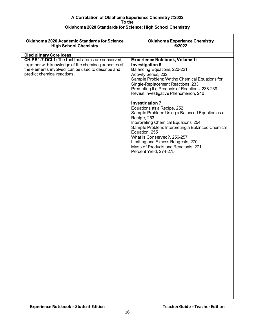| <b>Oklahoma 2020 Academic Standards for Science</b><br><b>High School Chemistry</b>                                                                                                                                                | <b>Oklahoma Experience Chemistry</b><br>©2022                                                                                                                                                                                                                                                                                                                                                                                                                                                                                                                                                                                                                                |
|------------------------------------------------------------------------------------------------------------------------------------------------------------------------------------------------------------------------------------|------------------------------------------------------------------------------------------------------------------------------------------------------------------------------------------------------------------------------------------------------------------------------------------------------------------------------------------------------------------------------------------------------------------------------------------------------------------------------------------------------------------------------------------------------------------------------------------------------------------------------------------------------------------------------|
|                                                                                                                                                                                                                                    |                                                                                                                                                                                                                                                                                                                                                                                                                                                                                                                                                                                                                                                                              |
| <b>Disciplinary Core Ideas</b><br>CH.PS1.7.DCI.1: The fact that atoms are conserved,<br>together with knowledge of the chemical properties of<br>the elements involved, can be used to describe and<br>predict chemical reactions. | <b>Experience Notebook, Volume 1:</b><br>Investigation 6<br>Balancing Equations, 220-221<br>Activity Series, 232<br>Sample Problem: Writing Chemical Equations for<br>Single-Replacement Reactions, 233<br>Predicting the Products of Reactions, 238-239<br>Revisit Investigative Phenomenon, 240<br><b>Investigation 7</b><br>Equations as a Recipe, 252<br>Sample Problem: Using a Balanced Equation as a<br>Recipe, 253<br>Interpreting Chemical Equations, 254<br>Sample Problem: Interpreting a Balanced Chemical<br>Equation, 255<br>What Is Conserved?, 256-257<br>Limiting and Excess Reagents, 270<br>Mass of Products and Reactants, 271<br>Percent Yield, 274-275 |
|                                                                                                                                                                                                                                    |                                                                                                                                                                                                                                                                                                                                                                                                                                                                                                                                                                                                                                                                              |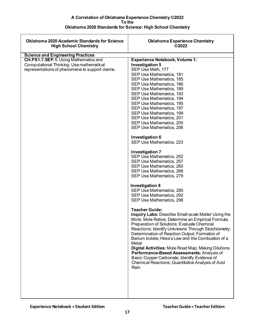| <b>Oklahoma 2020 Academic Standards for Science</b><br><b>High School Chemistry</b>                                                                                                     | <b>Oklahoma Experience Chemistry</b><br>©2022                                                                                                                                                                                                                                                                                                                                                                                                                                                                                                                                                                                                                                                                                                                                                                                                                                                                                                                                                                                                                                                                                                                                                                                                                                                                                                                       |
|-----------------------------------------------------------------------------------------------------------------------------------------------------------------------------------------|---------------------------------------------------------------------------------------------------------------------------------------------------------------------------------------------------------------------------------------------------------------------------------------------------------------------------------------------------------------------------------------------------------------------------------------------------------------------------------------------------------------------------------------------------------------------------------------------------------------------------------------------------------------------------------------------------------------------------------------------------------------------------------------------------------------------------------------------------------------------------------------------------------------------------------------------------------------------------------------------------------------------------------------------------------------------------------------------------------------------------------------------------------------------------------------------------------------------------------------------------------------------------------------------------------------------------------------------------------------------|
|                                                                                                                                                                                         |                                                                                                                                                                                                                                                                                                                                                                                                                                                                                                                                                                                                                                                                                                                                                                                                                                                                                                                                                                                                                                                                                                                                                                                                                                                                                                                                                                     |
| <b>Science and Engineering Practices</b><br><b>CH.PS1.7.SEP.1: Using Mathematics and</b><br>Computational Thinking: Use mathematical<br>representations of phenomena to support claims. | <b>Experience Notebook, Volume 1:</b><br><b>Investigation 5</b><br>SEP Use Math, 177<br>SEP Use Mathematics, 181<br>SEP Use Mathematics, 185<br>SEP Use Mathematics, 186<br>SEP Use Mathematics, 189<br>SEP Use Mathematics, 193<br>SEP Use Mathematics, 194<br>SEP Use Mathematics, 195<br>SEP Use Mathematics, 197<br>SEP Use Mathematics, 199<br>SEP Use Mathematics, 201<br>SEP Use Mathematics, 205<br>SEP Use Mathematics, 206<br>Investigation 6<br>SEP Use Mathematics, 223<br><b>Investigation 7</b><br>SEP Use Mathematics, 252<br>SEP Use Mathematics, 257<br>SEP Use Mathematics, 260<br>SEP Use Mathematics, 268<br>SEP Use Mathematics, 279<br><b>Investigation 8</b><br>SEP Use Mathematics, 285<br>SEP Use Mathematics, 292<br>SEP Use Mathematics, 298<br><b>Teacher Guide:</b><br><b>Inquiry Labs: Describe Small-scale Matter Using the</b><br>Mole; Mole Ratios; Determine an Empirical Formula;<br>Preparation of Solutions; Evaluate Chemical<br>Reactions; Identify Unknowns Through Stoichiometry;<br>Determination of Reaction Output; Formation of<br>Barium lodate; Hess's Law and the Combustion of a<br>Metal<br><b>Digital Activities: Mole Road Map; Making Dilutions</b><br>Performance-Based Assessments: Analysis of<br>Basic Copper Carbonate; Identify Evidence of<br>Chemical Reactions; Quantitative Analysis of Acid<br>Rain |
|                                                                                                                                                                                         |                                                                                                                                                                                                                                                                                                                                                                                                                                                                                                                                                                                                                                                                                                                                                                                                                                                                                                                                                                                                                                                                                                                                                                                                                                                                                                                                                                     |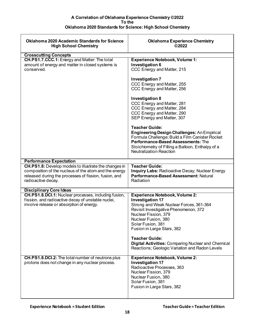| <b>Oklahoma 2020 Academic Standards for Science</b><br><b>High School Chemistry</b> | <b>Oklahoma Experience Chemistry</b><br>©2022          |
|-------------------------------------------------------------------------------------|--------------------------------------------------------|
| <b>Crosscutting Concepts</b>                                                        |                                                        |
| CH.PS1.7.CCC.1: Energy and Matter: The total                                        | <b>Experience Notebook, Volume 1:</b>                  |
|                                                                                     |                                                        |
| amount of energy and matter in closed systems is                                    | <b>Investigation 6</b>                                 |
| conserved.                                                                          | CCC Energy and Matter, 215                             |
|                                                                                     |                                                        |
|                                                                                     | <b>Investigation 7</b>                                 |
|                                                                                     | CCC Energy and Matter, 255                             |
|                                                                                     | CCC Energy and Matter, 256                             |
|                                                                                     |                                                        |
|                                                                                     |                                                        |
|                                                                                     | <b>Investigation 8</b>                                 |
|                                                                                     | CCC Energy and Matter, 281                             |
|                                                                                     | CCC Energy and Matter, 284                             |
|                                                                                     | CCC Energy and Matter, 290                             |
|                                                                                     | SEP Energy and Matter, 307                             |
|                                                                                     |                                                        |
|                                                                                     | <b>Teacher Guide:</b>                                  |
|                                                                                     | <b>Engineering Design Challenges: An Empirical</b>     |
|                                                                                     |                                                        |
|                                                                                     | Formula Challenge; Build a Film Canister Rocket        |
|                                                                                     | Performance-Based Assessments: The                     |
|                                                                                     | Stoichiometry of Filling a Balloon, Enthalpy of a      |
|                                                                                     | <b>Neutralization Reaction</b>                         |
|                                                                                     |                                                        |
| <b>Performance Expectation</b>                                                      |                                                        |
| CH.PS1.8: Develop models to illustrate the changes in                               | <b>Teacher Guide:</b>                                  |
| composition of the nucleus of the atom and the energy                               | <b>Inquiry Labs: Radioactive Decay; Nuclear Energy</b> |
| released during the processes of fission, fusion, and                               | Performance-Based Assessment: Natural                  |
| radioactive decay.                                                                  | Radiation                                              |
|                                                                                     |                                                        |
| <b>Disciplinary Core Ideas</b>                                                      |                                                        |
| <b>CH.PS1.8.DCI.1:</b> Nuclear processes, including fusion,                         | <b>Experience Notebook, Volume 2:</b>                  |
| fission, and radioactive decay of unstable nuclei,                                  | <b>Investigation 17</b>                                |
| involve release or absorption of energy.                                            | Strong and Weak Nuclear Forces, 361-364                |
|                                                                                     | Revisit Investigative Phenomenon, 372                  |
|                                                                                     | Nuclear Fission, 379                                   |
|                                                                                     | Nuclear Fusion, 380                                    |
|                                                                                     |                                                        |
|                                                                                     | Solar Fusion, 381                                      |
|                                                                                     | Fusion in Large Stars, 382                             |
|                                                                                     |                                                        |
|                                                                                     | <b>Teacher Guide:</b>                                  |
|                                                                                     | Digital Activities: Comparing Nuclear and Chemical     |
|                                                                                     | Reactions; Geologic Variation and Radon Levels         |
|                                                                                     |                                                        |
| <b>CH.PS1.8.DCI.2:</b> The total number of neutrons plus                            | <b>Experience Notebook, Volume 2:</b>                  |
| protons does not change in any nuclear process.                                     | <b>Investigation 17</b>                                |
|                                                                                     | Radioactive Processes, 363                             |
|                                                                                     | Nuclear Fission, 379                                   |
|                                                                                     | Nuclear Fusion, 380                                    |
|                                                                                     | Solar Fusion, 381                                      |
|                                                                                     | Fusion in Large Stars, 382                             |
|                                                                                     |                                                        |
|                                                                                     |                                                        |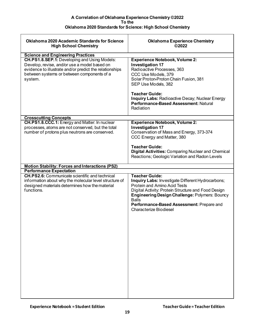<span id="page-18-0"></span>

| <b>Oklahoma 2020 Academic Standards for Science</b><br><b>High School Chemistry</b>                                                                                                                              | <b>Oklahoma Experience Chemistry</b><br>©2022                                                                                                                                                                                                                                                                                  |
|------------------------------------------------------------------------------------------------------------------------------------------------------------------------------------------------------------------|--------------------------------------------------------------------------------------------------------------------------------------------------------------------------------------------------------------------------------------------------------------------------------------------------------------------------------|
| <b>Science and Engineering Practices</b>                                                                                                                                                                         |                                                                                                                                                                                                                                                                                                                                |
| CH.PS1.8.SEP.1: Developing and Using Models:<br>Develop, revise, and/or use a model based on<br>evidence to illustrate and/or predict the relationships<br>between systems or between components of a<br>system. | <b>Experience Notebook, Volume 2:</b><br><b>Investigation 17</b><br>Radioactive Processes, 363<br>CCC Use Models, 379<br>Solar Proton-Proton Chain Fusion, 381<br>SEP Use Models, 382<br><b>Teacher Guide:</b><br><b>Inquiry Labs: Radioactive Decay; Nuclear Energy</b><br>Performance-Based Assessment: Natural<br>Radiation |
| <b>Crosscutting Concepts</b>                                                                                                                                                                                     |                                                                                                                                                                                                                                                                                                                                |
| CH.PS1.8.CCC.1: Energy and Matter: In nuclear<br>processes, atoms are not conserved, but the total<br>number of protons plus neutrons are conserved.                                                             | <b>Experience Notebook, Volume 2:</b><br><b>Investigation 17</b><br>Conservation of Mass and Energy, 373-374<br>CCC Energy and Matter, 380<br><b>Teacher Guide:</b><br><b>Digital Activities: Comparing Nuclear and Chemical</b><br>Reactions; Geologic Variation and Radon Levels                                             |
| <b>Motion Stability: Forces and Interactions (PS2)</b>                                                                                                                                                           |                                                                                                                                                                                                                                                                                                                                |
| <b>Performance Expectation</b>                                                                                                                                                                                   |                                                                                                                                                                                                                                                                                                                                |
| <b>CH.PS2.6:</b> Communicate scientific and technical<br>information about why the molecular level structure of<br>designed materials determines how the material<br>functions.                                  | <b>Teacher Guide:</b><br>Inquiry Labs: Investigate Different Hydrocarbons;<br><b>Protein and Amino Acid Tests</b><br>Digital Activity: Protein Structure and Food Design<br>Engineering Design Challenge: Polymers: Bouncy<br><b>Balls</b><br>Performance-Based Assessment: Prepare and<br><b>Characterize Biodiesel</b>       |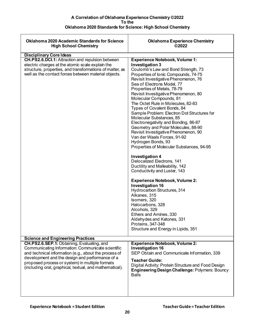| <b>Oklahoma 2020 Academic Standards for Science</b><br><b>High School Chemistry</b>                                                                                                                                                                                                                                       | <b>Oklahoma Experience Chemistry</b><br>©2022                                                                                                                                                                                                                                                                                                                                                                                                                                                                                                                                                                                                                                                                                                                                                                                                                                                                                                                                                                                                                                                                   |
|---------------------------------------------------------------------------------------------------------------------------------------------------------------------------------------------------------------------------------------------------------------------------------------------------------------------------|-----------------------------------------------------------------------------------------------------------------------------------------------------------------------------------------------------------------------------------------------------------------------------------------------------------------------------------------------------------------------------------------------------------------------------------------------------------------------------------------------------------------------------------------------------------------------------------------------------------------------------------------------------------------------------------------------------------------------------------------------------------------------------------------------------------------------------------------------------------------------------------------------------------------------------------------------------------------------------------------------------------------------------------------------------------------------------------------------------------------|
|                                                                                                                                                                                                                                                                                                                           |                                                                                                                                                                                                                                                                                                                                                                                                                                                                                                                                                                                                                                                                                                                                                                                                                                                                                                                                                                                                                                                                                                                 |
| <b>Disciplinary Core Ideas</b><br>CH.PS2.6.DCI.1: Attraction and repulsion between<br>electric charges at the atomic scale explain the<br>structure, properties, and transformations of matter, as<br>well as the contact forces between material objects.                                                                | <b>Experience Notebook, Volume 1:</b><br>Investigation 3<br>Coulomb's Law and Bond Strength, 73<br>Properties of Ionic Compounds, 74-75<br>Revisit Investigative Phenomenon, 76<br>Sea of Electrons Model, 77<br>Properties of Metals, 78-79<br>Revisit Investigative Phenomenon, 80<br>Molecular Compounds, 81<br>The Octet Rule in Molecules, 82-83<br>Types of Covalent Bonds, 84<br>Sample Problem: Electron Dot Structures for<br>Molecular Substances, 85<br>Electronegativity and Bonding, 86-87<br>Geometry and Polar Molecules, 88-90<br>Revisit Investigative Phenomenon, 90<br>Van der Waals Forces, 91-92<br>Hydrogen Bonds, 93<br>Properties of Molecular Substances, 94-95<br><b>Investigation 4</b><br>Delocalized Electrons, 141<br>Ductility and Malleability, 142<br>Conductivity and Luster, 143<br><b>Experience Notebook, Volume 2:</b><br><b>Investigation 16</b><br>Hydrocarbon Structures, 314<br>Alkanes, 315<br>Isomers, 320<br>Halocarbons, 328<br>Alcohols, 329<br>Ethers and Amines, 330<br>Aldehydes and Ketones, 331<br>Proteins, 347-348<br>Structure and Energy in Lipids, 351 |
|                                                                                                                                                                                                                                                                                                                           |                                                                                                                                                                                                                                                                                                                                                                                                                                                                                                                                                                                                                                                                                                                                                                                                                                                                                                                                                                                                                                                                                                                 |
| <b>Science and Engineering Practices</b>                                                                                                                                                                                                                                                                                  |                                                                                                                                                                                                                                                                                                                                                                                                                                                                                                                                                                                                                                                                                                                                                                                                                                                                                                                                                                                                                                                                                                                 |
| CH.PS2.6.SEP.1: Obtaining, Evaluating, and<br>Communicating Information: Communicate scientific<br>and technical information (e.g., about the process of<br>development and the design and performance of a<br>proposed process or system) in multiple formats<br>(including oral, graphical, textual, and mathematical). | <b>Experience Notebook, Volume 2:</b><br><b>Investigation 16</b><br>SEP Obtain and Communicate Information, 339<br><b>Teacher Guide:</b><br>Digital Activity: Protein Structure and Food Design<br><b>Engineering Design Challenge: Polymers: Bouncy</b><br><b>Balls</b>                                                                                                                                                                                                                                                                                                                                                                                                                                                                                                                                                                                                                                                                                                                                                                                                                                        |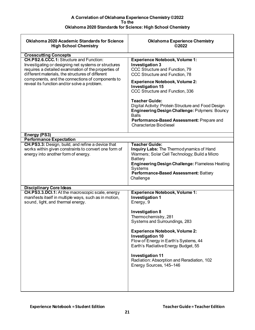<span id="page-20-0"></span>

| <b>Oklahoma 2020 Academic Standards for Science</b><br><b>High School Chemistry</b>                                                                                                                                                                                                                            | <b>Oklahoma Experience Chemistry</b><br>©2022                                                                                                                                                                                                                                                                                                                                                                                                                              |
|----------------------------------------------------------------------------------------------------------------------------------------------------------------------------------------------------------------------------------------------------------------------------------------------------------------|----------------------------------------------------------------------------------------------------------------------------------------------------------------------------------------------------------------------------------------------------------------------------------------------------------------------------------------------------------------------------------------------------------------------------------------------------------------------------|
| <b>Crosscutting Concepts</b>                                                                                                                                                                                                                                                                                   |                                                                                                                                                                                                                                                                                                                                                                                                                                                                            |
| CH.PS2.6.CCC.1: Structure and Function:<br>Investigating or designing net systems or structures<br>requires a detailed examination of the properties of<br>different materials, the structures of different<br>components, and the connections of components to<br>reveal its function and/or solve a problem. | <b>Experience Notebook, Volume 1:</b><br><b>Investigation 3</b><br>CCC Structure and Function, 79<br>CCC Structure and Function, 78<br><b>Experience Notebook, Volume 2:</b><br><b>Investigation 15</b><br>CCC Structure and Function, 336<br><b>Teacher Guide:</b><br>Digital Activity: Protein Structure and Food Design<br>Engineering Design Challenge: Polymers: Bouncy<br><b>Balls</b><br>Performance-Based Assessment: Prepare and<br><b>Characterize Biodiesel</b> |
| Energy (PS3)                                                                                                                                                                                                                                                                                                   |                                                                                                                                                                                                                                                                                                                                                                                                                                                                            |
| <b>Performance Expectation</b>                                                                                                                                                                                                                                                                                 |                                                                                                                                                                                                                                                                                                                                                                                                                                                                            |
| CH.PS3.3: Design, build, and refine a device that<br>works within given constraints to convert one form of<br>energy into another form of energy.                                                                                                                                                              | <b>Teacher Guide:</b><br>Inquiry Labs: The Thermodynamics of Hand<br>Warmers; Solar Cell Technology; Build a Micro<br><b>Battery</b><br><b>Engineering Design Challenge: Flameless Heating</b><br>Systems<br>Performance-Based Assessment: Battery<br>Challenge                                                                                                                                                                                                            |
|                                                                                                                                                                                                                                                                                                                |                                                                                                                                                                                                                                                                                                                                                                                                                                                                            |
| <b>Disciplinary Core Ideas</b><br>CH.PS3.3.DCI.1: At the macroscopic scale, energy<br>manifests itself in multiple ways, such as in motion,<br>sound, light, and thermal energy.                                                                                                                               | <b>Experience Notebook, Volume 1:</b><br><b>Investigation 1</b><br>Energy, 9<br><b>Investigation 8</b><br>Thermochemistry, 281<br>Systems and Surroundings, 283<br><b>Experience Notebook, Volume 2:</b><br><b>Investigation 10</b><br>Flow of Energy in Earth's Systems, 44<br>Earth's Radiative Energy Budget, 55<br><b>Investigation 11</b><br>Radiation: Absorption and Reradiation, 102<br>Energy Sources, 145-146                                                    |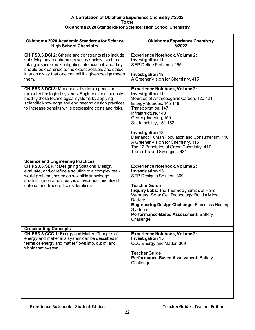| <b>Oklahoma 2020 Academic Standards for Science</b><br><b>High School Chemistry</b>                                                                                                                                                                                                                          | <b>Oklahoma Experience Chemistry</b><br>©2022                                                                                                                                                                                                                                                                                                                                                                                           |
|--------------------------------------------------------------------------------------------------------------------------------------------------------------------------------------------------------------------------------------------------------------------------------------------------------------|-----------------------------------------------------------------------------------------------------------------------------------------------------------------------------------------------------------------------------------------------------------------------------------------------------------------------------------------------------------------------------------------------------------------------------------------|
| <b>CH.PS3.3.DCI.2:</b> Criteria and constraints also include<br>satisfying any requirements set by society, such as<br>taking issues of risk mitigation into account, and they<br>should be quantified to the extent possible and stated<br>in such a way that one can tell if a given design meets<br>them. | <b>Experience Notebook, Volume 2:</b><br><b>Investigation 11</b><br>SEP Define Problems, 155<br><b>Investigation 18</b><br>A Greener Vision for Chemistry, 415                                                                                                                                                                                                                                                                          |
| CH.PS3.3.DCI.3: Modern civilization depends on<br>major technological systems. Engineers continuously<br>modify these technological systems by applying<br>scientific knowledge and engineering design practices<br>to increase benefits while decreasing costs and risks.                                   | <b>Experience Notebook, Volume 2:</b><br><b>Investigation 11</b><br>Sources of Anthropogenic Carbon, 120-121<br>Energy Sources, 145-146<br>Transportation, 147<br>Infrastructure, 148<br>Geoengineering, 150<br>Sustainability, 151-152<br><b>Investigation 18</b><br>Demand: Human Population and Consumerism, 410<br>A Greener Vision for Chemistry, 415<br>The 12 Principles of Green Chemistry, 417<br>Tradeoffs and Synergies, 431 |
| <b>Science and Engineering Practices</b>                                                                                                                                                                                                                                                                     |                                                                                                                                                                                                                                                                                                                                                                                                                                         |
| <b>CH.PS3.3.SEP.1: Designing Solutions: Design,</b><br>evaluate, and/or refine a solution to a complex real-<br>world problem, based on scientific knowledge,<br>student-generated sources of evidence, prioritized<br>criteria, and trade-off considerations.                                               | <b>Experience Notebook, Volume 2:</b><br><b>Investigation 15</b><br>SEP Design a Solution, 309<br><b>Teacher Guide</b><br>Inquiry Labs: The Thermodynamics of Hand<br>Warmers; Solar Cell Technology; Build a Micro<br><b>Battery</b><br><b>Engineering Design Challenge: Flameless Heating</b><br>Systems<br>Performance-Based Assessment: Battery<br>Challenge                                                                        |
| <b>Crosscutting Concepts</b><br>CH.PS3.3.CCC.1: Energy and Matter: Changes of                                                                                                                                                                                                                                | <b>Experience Notebook, Volume 2:</b>                                                                                                                                                                                                                                                                                                                                                                                                   |
| energy and matter in a system can be described in<br>terms of energy and matter flows into, out of, and<br>within that system.                                                                                                                                                                               | <b>Investigation 15</b><br>CCC Energy and Matter, 309<br><b>Teacher Guide</b><br>Performance-Based Assessment: Battery<br>Challenge                                                                                                                                                                                                                                                                                                     |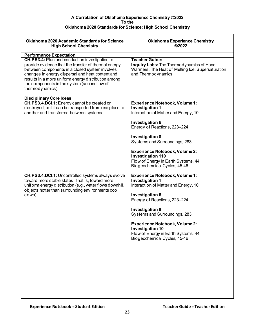| <b>Oklahoma 2020 Academic Standards for Science</b><br><b>High School Chemistry</b>                                                                                                                                                                                                  | <b>Oklahoma Experience Chemistry</b><br>©2022                                                                              |
|--------------------------------------------------------------------------------------------------------------------------------------------------------------------------------------------------------------------------------------------------------------------------------------|----------------------------------------------------------------------------------------------------------------------------|
| <b>Performance Expectation</b><br>CH.PS3.4: Plan and conduct an investigation to                                                                                                                                                                                                     | <b>Teacher Guide:</b>                                                                                                      |
| provide evidence that the transfer of thermal energy<br>between components in a closed system involves<br>changes in energy dispersal and heat content and<br>results in a more uniform energy distribution among<br>the components in the system (second law of<br>thermodynamics). | <b>Inquiry Labs: The Thermodynamics of Hand</b><br>Warmers; The Heat of Melting Ice; Supersaturation<br>and Thermodynamics |
| <b>Disciplinary Core Ideas</b>                                                                                                                                                                                                                                                       |                                                                                                                            |
| CH.PS3.4.DCI.1: Energy cannot be created or<br>destroyed, but it can be transported from one place to                                                                                                                                                                                | <b>Experience Notebook, Volume 1:</b><br><b>Investigation 1</b>                                                            |
| another and transferred between systems.                                                                                                                                                                                                                                             | Interaction of Matter and Energy, 10                                                                                       |
|                                                                                                                                                                                                                                                                                      | Investigation 6<br>Energy of Reactions, 223-224                                                                            |
|                                                                                                                                                                                                                                                                                      | <b>Investigation 8</b>                                                                                                     |
|                                                                                                                                                                                                                                                                                      | Systems and Surroundings, 283                                                                                              |
|                                                                                                                                                                                                                                                                                      | <b>Experience Notebook, Volume 2:</b><br><b>Investigation 110</b>                                                          |
|                                                                                                                                                                                                                                                                                      | Flow of Energy in Earth Systems, 44<br>Biogeochemical Cycles, 45-46                                                        |
| <b>CH.PS3.4.DCI.1:</b> Uncontrolled systems always evolve                                                                                                                                                                                                                            | <b>Experience Notebook, Volume 1:</b>                                                                                      |
| toward more stable states - that is, toward more<br>uniform energy distribution (e.g., water flows downhill,<br>objects hotter than surrounding environments cool                                                                                                                    | <b>Investigation 1</b><br>Interaction of Matter and Energy, 10                                                             |
| down).                                                                                                                                                                                                                                                                               | Investigation 6<br>Energy of Reactions, 223-224                                                                            |
|                                                                                                                                                                                                                                                                                      | <b>Investigation 8</b><br>Systems and Surroundings, 283                                                                    |
|                                                                                                                                                                                                                                                                                      | <b>Experience Notebook, Volume 2:</b><br><b>Investigation 10</b>                                                           |
|                                                                                                                                                                                                                                                                                      | Flow of Energy in Earth Systems, 44<br>Biogeochemical Cycles, 45-46                                                        |
|                                                                                                                                                                                                                                                                                      |                                                                                                                            |
|                                                                                                                                                                                                                                                                                      |                                                                                                                            |
|                                                                                                                                                                                                                                                                                      |                                                                                                                            |
|                                                                                                                                                                                                                                                                                      |                                                                                                                            |
|                                                                                                                                                                                                                                                                                      |                                                                                                                            |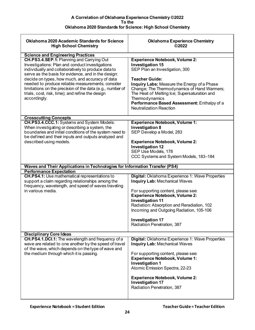<span id="page-23-0"></span>

| <b>Oklahoma 2020 Academic Standards for Science</b><br><b>High School Chemistry</b>                                                      | <b>Oklahoma Experience Chemistry</b><br>©2022                                                                 |
|------------------------------------------------------------------------------------------------------------------------------------------|---------------------------------------------------------------------------------------------------------------|
| <b>Science and Engineering Practices</b><br>CH.PS3.4.SEP.1: Planning and Carrying Out<br>Investigations: Plan and conduct investigations | <b>Experience Notebook, Volume 2:</b><br><b>Investigation 15</b>                                              |
| individually and collaboratively to produce data to<br>serve as the basis for evidence, and in the design:                               | SEP Plan an Investigation, 300                                                                                |
| decide on types, how much, and accuracy of data<br>needed to produce reliable measurements; consider                                     | <b>Teacher Guide:</b><br>Inquiry Labs: Measure the Energy of a Phase                                          |
| limitations on the precision of the data (e.g., number of<br>trials, cost, risk, time); and refine the design<br>accordingly.            | Change; The Thermodynamics of Hand Warmers;<br>The Heat of Melting Ice; Supersaturation and<br>Thermodynamics |
|                                                                                                                                          | Performance Based Assessment: Enthalpy of a<br><b>Neutralization Reaction</b>                                 |
| <b>Crosscutting Concepts</b>                                                                                                             |                                                                                                               |
| CH.PS3.4.CCC.1: Systems and System Models:<br>When investigating or describing a system, the                                             | <b>Experience Notebook, Volume 1:</b><br><b>Investigation 8</b>                                               |
| boundaries and initial conditions of the system need to<br>be defined and their inputs and outputs analyzed and                          | SEP Develop a Model, 283                                                                                      |
| described using models.                                                                                                                  | <b>Experience Notebook, Volume 2:</b><br><b>Investigation 12</b>                                              |
|                                                                                                                                          | SEP Use Models, 178                                                                                           |
|                                                                                                                                          | CCC Systems and System Models, 183-184                                                                        |
| Waves and Their Applications in Technologies for Information Transfer (PS4)                                                              |                                                                                                               |
| <b>Performance Expectation</b><br><b>CH.PS4.1:</b> Use mathematical representations to                                                   | Digital: Oklahoma Experience 1: Wave Properties                                                               |
| support a claim regarding relationships among the<br>frequency, wavelength, and speed of waves traveling                                 | <b>Inquiry Lab: Mechanical Waves</b>                                                                          |
| in various media.                                                                                                                        | For supporting content, please see:<br><b>Experience Notebook, Volume 2:</b>                                  |
|                                                                                                                                          | <b>Investigation 11</b><br>Radiation: Absorption and Reradiation, 102                                         |
|                                                                                                                                          | Incoming and Outgoing Radiation, 105-106                                                                      |
|                                                                                                                                          | <b>Investigation 17</b><br>Radiation Penetration, 387                                                         |
| <b>Disciplinary Core Ideas</b>                                                                                                           |                                                                                                               |
| CH.PS4.1.DCI.1: The wavelength and frequency of a<br>wave are related to one another by the speed of travel                              | Digital: Oklahoma Experience 1: Wave Properties<br><b>Inquiry Lab: Mechanical Waves</b>                       |
| of the wave, which depends on the type of wave and<br>the medium through which it is passing.                                            | For supporting content, please see:<br><b>Experience Notebook, Volume 1:</b>                                  |
|                                                                                                                                          | <b>Investigation 1</b>                                                                                        |
|                                                                                                                                          | Atomic Emission Spectra, 22-23                                                                                |
|                                                                                                                                          | <b>Experience Notebook, Volume 2:</b><br><b>Investigation 17</b>                                              |
|                                                                                                                                          | Radiation Penetration, 387                                                                                    |
|                                                                                                                                          |                                                                                                               |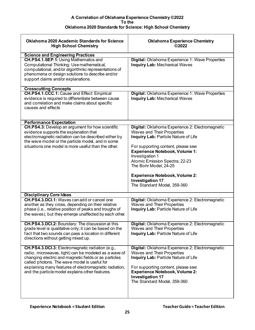| <b>Oklahoma 2020 Academic Standards for Science</b><br><b>High School Chemistry</b>                                                                                                                                                                                                                                             | <b>Oklahoma Experience Chemistry</b><br>©2022                                                                                                                                                                                                                                                                                                                                                 |
|---------------------------------------------------------------------------------------------------------------------------------------------------------------------------------------------------------------------------------------------------------------------------------------------------------------------------------|-----------------------------------------------------------------------------------------------------------------------------------------------------------------------------------------------------------------------------------------------------------------------------------------------------------------------------------------------------------------------------------------------|
| <b>Science and Engineering Practices</b><br><b>CH.PS4.1.SEP.1: Using Mathematics and</b><br>Computational Thinking: Use mathematical,<br>computational, and/or algorithmic representations of<br>phenomena or design solutions to describe and/or<br>support claims and/or explanations.                                        | Digital: Oklahoma Experience 1: Wave Properties<br><b>Inquiry Lab: Mechanical Waves</b>                                                                                                                                                                                                                                                                                                       |
| <b>Crosscutting Concepts</b><br>CH.PS4.1.CCC.1: Cause and Effect: Empirical<br>evidence is required to differentiate between cause<br>and correlation and make claims about specific<br>causes and effects                                                                                                                      | Digital: Oklahoma Experience 1: Wave Properties<br><b>Inquiry Lab: Mechanical Waves</b>                                                                                                                                                                                                                                                                                                       |
| <b>Performance Expectation</b><br><b>CH.PS4.3:</b> Develop an argument for how scientific<br>evidence supports the explanation that<br>electromagnetic radiation can be described either by<br>the wave model or the particle model, and in some<br>situations one model is more useful than the other.                         | Digital: Oklahoma Experience 2: Electromagnetic<br><b>Waves and Their Properties</b><br>Inquiry Lab: Particle Nature of Life<br>For supporting content, please see:<br><b>Experience Notebook, Volume 1:</b><br>Investigation 1<br>Atomic Emission Spectra, 22-23<br>The Bohr Model, 24-25<br><b>Experience Notebook, Volume 2:</b><br><b>Investigation 17</b><br>The Standard Model, 359-360 |
| <b>Disciplinary Core Ideas</b><br><b>CH.PS4.3.DCI.1:</b> Waves can add or cancel one<br>another as they cross, depending on their relative<br>phase (i.e., relative position of peaks and troughs of<br>the waves), but they emerge unaffected by each other.                                                                   | Digital: Oklahoma Experience 2: Electromagnetic<br><b>Waves and Their Properties</b><br>Inquiry Lab: Particle Nature of Life                                                                                                                                                                                                                                                                  |
| <b>CH.PS4.3.DCI.2:</b> Boundary: The discussion at this<br>grade level is qualitative only; it can be based on the<br>fact that two sounds can pass a location in different<br>directions without getting mixed up.                                                                                                             | <b>Digital:</b> Oklahoma Experience 2: Electromagnetic<br><b>Waves and Their Properties</b><br>Inquiry Lab: Particle Nature of Life                                                                                                                                                                                                                                                           |
| CH.PS4.3.DCI.3: Electromagnetic radiation (e.g.,<br>radio, microwaves, light) can be modeled as a wave of<br>changing electric and magnetic fields or as particles<br>called photons. The wave model is useful for<br>explaining many features of electromagnetic radiation,<br>and the particle model explains other features. | Digital: Oklahoma Experience 2: Electromagnetic<br>Waves and Their Properties<br>Inquiry Lab: Particle Nature of Life<br>For supporting content, please see:<br><b>Experience Notebook, Volume 2:</b><br><b>Investigation 17</b><br>The Standard Model, 359-360                                                                                                                               |